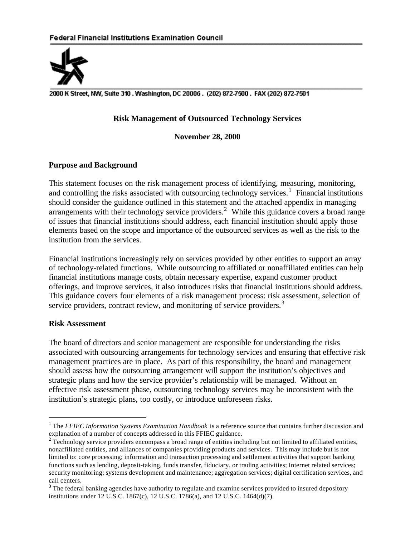

2000 K Street, NW, Suite 310. Washington, DC 20006. (202) 872-7500. FAX (202) 872-7501

### **Risk Management of Outsourced Technology Services**

**November 28, 2000**

#### **Purpose and Background**

This statement focuses on the risk management process of identifying, measuring, monitoring, and controlling the risks associated with outsourcing technology services.<sup>1</sup> Financial institutions should consider the guidance outlined in this statement and the attached appendix in managing arrangements with their technology service providers.<sup>2</sup> While this guidance covers a broad range of issues that financial institutions should address, each financial institution should apply those elements based on the scope and importance of the outsourced services as well as the risk to the institution from the services.

Financial institutions increasingly rely on services provided by other entities to support an array of technology-related functions. While outsourcing to affiliated or nonaffiliated entities can help financial institutions manage costs, obtain necessary expertise, expand customer product offerings, and improve services, it also introduces risks that financial institutions should address. This guidance covers four elements of a risk management process: risk assessment, selection of service providers, contract review, and monitoring of service providers.<sup>3</sup>

#### **Risk Assessment**

 $\overline{a}$ 

The board of directors and senior management are responsible for understanding the risks associated with outsourcing arrangements for technology services and ensuring that effective risk management practices are in place. As part of this responsibility, the board and management should assess how the outsourcing arrangement will support the institution's objectives and strategic plans and how the service provider's relationship will be managed. Without an effective risk assessment phase, outsourcing technology services may be inconsistent with the institution's strategic plans, too costly, or introduce unforeseen risks.

<sup>&</sup>lt;sup>1</sup> The *FFIEC Information Systems Examination Handbook* is a reference source that contains further discussion and explanation of a number of concepts addressed in this FFIEC guidance.

 $2\text{ Technology}$  service providers encompass a broad range of entities including but not limited to affiliated entities, nonaffiliated entities, and alliances of companies providing products and services. This may include but is not limited to: core processing; information and transaction processing and settlement activities that support banking functions such as lending, deposit-taking, funds transfer, fiduciary, or trading activities; Internet related services; security monitoring; systems development and maintenance; aggregation services; digital certification services, and call centers.

<sup>&</sup>lt;sup>3</sup> The federal banking agencies have authority to regulate and examine services provided to insured depository institutions under 12 U.S.C. 1867(c), 12 U.S.C. 1786(a), and 12 U.S.C. 1464(d)(7).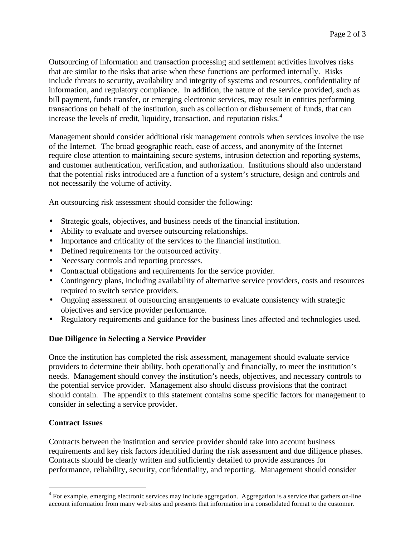Outsourcing of information and transaction processing and settlement activities involves risks that are similar to the risks that arise when these functions are performed internally. Risks include threats to security, availability and integrity of systems and resources, confidentiality of information, and regulatory compliance. In addition, the nature of the service provided, such as bill payment, funds transfer, or emerging electronic services, may result in entities performing transactions on behalf of the institution, such as collection or disbursement of funds, that can increase the levels of credit, liquidity, transaction, and reputation risks. $4$ 

Management should consider additional risk management controls when services involve the use of the Internet. The broad geographic reach, ease of access, and anonymity of the Internet require close attention to maintaining secure systems, intrusion detection and reporting systems, and customer authentication, verification, and authorization. Institutions should also understand that the potential risks introduced are a function of a system's structure, design and controls and not necessarily the volume of activity.

An outsourcing risk assessment should consider the following:

- Strategic goals, objectives, and business needs of the financial institution.
- Ability to evaluate and oversee outsourcing relationships.
- Importance and criticality of the services to the financial institution.
- Defined requirements for the outsourced activity.
- Necessary controls and reporting processes.
- Contractual obligations and requirements for the service provider.
- Contingency plans, including availability of alternative service providers, costs and resources required to switch service providers.
- Ongoing assessment of outsourcing arrangements to evaluate consistency with strategic objectives and service provider performance.
- Regulatory requirements and guidance for the business lines affected and technologies used.

## **Due Diligence in Selecting a Service Provider**

Once the institution has completed the risk assessment, management should evaluate service providers to determine their ability, both operationally and financially, to meet the institution's needs. Management should convey the institution's needs, objectives, and necessary controls to the potential service provider. Management also should discuss provisions that the contract should contain. The appendix to this statement contains some specific factors for management to consider in selecting a service provider.

## **Contract Issues**

 $\overline{a}$ 

Contracts between the institution and service provider should take into account business requirements and key risk factors identified during the risk assessment and due diligence phases. Contracts should be clearly written and sufficiently detailed to provide assurances for performance, reliability, security, confidentiality, and reporting. Management should consider

<sup>&</sup>lt;sup>4</sup> For example, emerging electronic services may include aggregation. Aggregation is a service that gathers on-line account information from many web sites and presents that information in a consolidated format to the customer.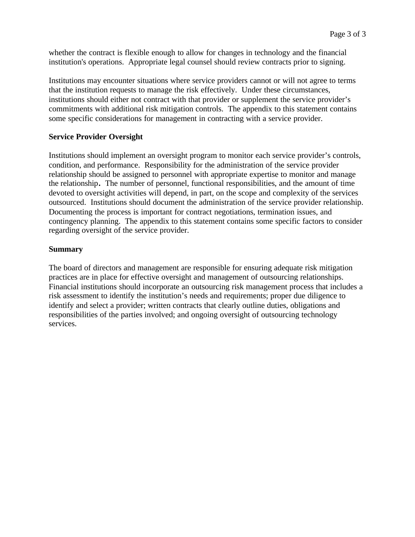whether the contract is flexible enough to allow for changes in technology and the financial institution's operations. Appropriate legal counsel should review contracts prior to signing.

Institutions may encounter situations where service providers cannot or will not agree to terms that the institution requests to manage the risk effectively. Under these circumstances, institutions should either not contract with that provider or supplement the service provider's commitments with additional risk mitigation controls. The appendix to this statement contains some specific considerations for management in contracting with a service provider.

## **Service Provider Oversight**

Institutions should implement an oversight program to monitor each service provider's controls, condition, and performance. Responsibility for the administration of the service provider relationship should be assigned to personnel with appropriate expertise to monitor and manage the relationship**.** The number of personnel, functional responsibilities, and the amount of time devoted to oversight activities will depend, in part, on the scope and complexity of the services outsourced. Institutions should document the administration of the service provider relationship. Documenting the process is important for contract negotiations, termination issues, and contingency planning. The appendix to this statement contains some specific factors to consider regarding oversight of the service provider.

#### **Summary**

The board of directors and management are responsible for ensuring adequate risk mitigation practices are in place for effective oversight and management of outsourcing relationships. Financial institutions should incorporate an outsourcing risk management process that includes a risk assessment to identify the institution's needs and requirements; proper due diligence to identify and select a provider; written contracts that clearly outline duties, obligations and responsibilities of the parties involved; and ongoing oversight of outsourcing technology services.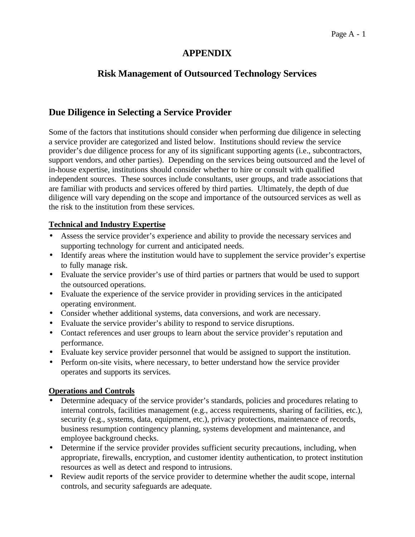# **APPENDIX**

# **Risk Management of Outsourced Technology Services**

# **Due Diligence in Selecting a Service Provider**

Some of the factors that institutions should consider when performing due diligence in selecting a service provider are categorized and listed below. Institutions should review the service provider's due diligence process for any of its significant supporting agents (i.e., subcontractors, support vendors, and other parties). Depending on the services being outsourced and the level of in-house expertise, institutions should consider whether to hire or consult with qualified independent sources. These sources include consultants, user groups, and trade associations that are familiar with products and services offered by third parties. Ultimately, the depth of due diligence will vary depending on the scope and importance of the outsourced services as well as the risk to the institution from these services.

## **Technical and Industry Expertise**

- Assess the service provider's experience and ability to provide the necessary services and supporting technology for current and anticipated needs.
- Identify areas where the institution would have to supplement the service provider's expertise to fully manage risk.
- Evaluate the service provider's use of third parties or partners that would be used to support the outsourced operations.
- Evaluate the experience of the service provider in providing services in the anticipated operating environment.
- Consider whether additional systems, data conversions, and work are necessary.
- Evaluate the service provider's ability to respond to service disruptions.
- Contact references and user groups to learn about the service provider's reputation and performance.
- Evaluate key service provider personnel that would be assigned to support the institution.
- Perform on-site visits, where necessary, to better understand how the service provider operates and supports its services.

# **Operations and Controls**

- Determine adequacy of the service provider's standards, policies and procedures relating to internal controls, facilities management (e.g., access requirements, sharing of facilities, etc.), security (e.g., systems, data, equipment, etc.), privacy protections, maintenance of records, business resumption contingency planning, systems development and maintenance, and employee background checks.
- Determine if the service provider provides sufficient security precautions, including, when appropriate, firewalls, encryption, and customer identity authentication, to protect institution resources as well as detect and respond to intrusions.
- Review audit reports of the service provider to determine whether the audit scope, internal controls, and security safeguards are adequate.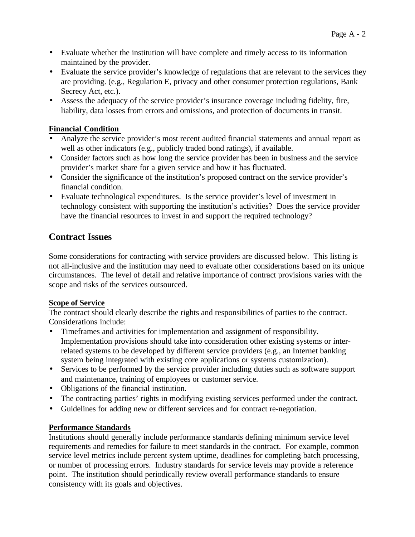- Evaluate whether the institution will have complete and timely access to its information maintained by the provider.
- Evaluate the service provider's knowledge of regulations that are relevant to the services they are providing. (e.g., Regulation E, privacy and other consumer protection regulations, Bank Secrecy Act, etc.).
- Assess the adequacy of the service provider's insurance coverage including fidelity, fire, liability, data losses from errors and omissions, and protection of documents in transit.

## **Financial Condition**

- Analyze the service provider's most recent audited financial statements and annual report as well as other indicators (e.g., publicly traded bond ratings), if available.
- Consider factors such as how long the service provider has been in business and the service provider's market share for a given service and how it has fluctuated.
- Consider the significance of the institution's proposed contract on the service provider's financial condition.
- Evaluate technological expenditures. Is the service provider's level of investment in technology consistent with supporting the institution's activities? Does the service provider have the financial resources to invest in and support the required technology?

# **Contract Issues**

Some considerations for contracting with service providers are discussed below. This listing is not all-inclusive and the institution may need to evaluate other considerations based on its unique circumstances. The level of detail and relative importance of contract provisions varies with the scope and risks of the services outsourced.

# **Scope of Service**

The contract should clearly describe the rights and responsibilities of parties to the contract. Considerations include:

- Timeframes and activities for implementation and assignment of responsibility. Implementation provisions should take into consideration other existing systems or interrelated systems to be developed by different service providers (e.g., an Internet banking system being integrated with existing core applications or systems customization).
- Services to be performed by the service provider including duties such as software support and maintenance, training of employees or customer service.
- Obligations of the financial institution.
- The contracting parties' rights in modifying existing services performed under the contract.
- Guidelines for adding new or different services and for contract re-negotiation.

# **Performance Standards**

Institutions should generally include performance standards defining minimum service level requirements and remedies for failure to meet standards in the contract. For example, common service level metrics include percent system uptime, deadlines for completing batch processing, or number of processing errors. Industry standards for service levels may provide a reference point. The institution should periodically review overall performance standards to ensure consistency with its goals and objectives.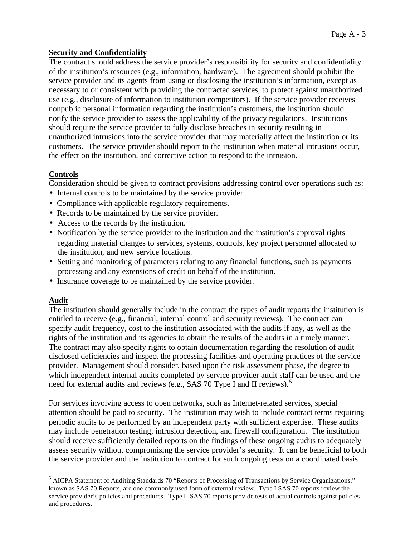## **Security and Confidentiality**

The contract should address the service provider's responsibility for security and confidentiality of the institution's resources (e.g., information, hardware). The agreement should prohibit the service provider and its agents from using or disclosing the institution's information, except as necessary to or consistent with providing the contracted services, to protect against unauthorized use (e.g., disclosure of information to institution competitors). If the service provider receives nonpublic personal information regarding the institution's customers, the institution should notify the service provider to assess the applicability of the privacy regulations. Institutions should require the service provider to fully disclose breaches in security resulting in unauthorized intrusions into the service provider that may materially affect the institution or its customers. The service provider should report to the institution when material intrusions occur, the effect on the institution, and corrective action to respond to the intrusion.

## **Controls**

Consideration should be given to contract provisions addressing control over operations such as:

- Internal controls to be maintained by the service provider.
- Compliance with applicable regulatory requirements.
- Records to be maintained by the service provider.
- Access to the records by the institution.
- Notification by the service provider to the institution and the institution's approval rights regarding material changes to services, systems, controls, key project personnel allocated to the institution, and new service locations.
- Setting and monitoring of parameters relating to any financial functions, such as payments processing and any extensions of credit on behalf of the institution.
- Insurance coverage to be maintained by the service provider.

# **Audit**

 $\overline{a}$ 

The institution should generally include in the contract the types of audit reports the institution is entitled to receive (e.g., financial, internal control and security reviews). The contract can specify audit frequency, cost to the institution associated with the audits if any, as well as the rights of the institution and its agencies to obtain the results of the audits in a timely manner. The contract may also specify rights to obtain documentation regarding the resolution of audit disclosed deficiencies and inspect the processing facilities and operating practices of the service provider. Management should consider, based upon the risk assessment phase, the degree to which independent internal audits completed by service provider audit staff can be used and the need for external audits and reviews (e.g., SAS 70 Type I and II reviews).<sup>5</sup>

For services involving access to open networks, such as Internet-related services, special attention should be paid to security. The institution may wish to include contract terms requiring periodic audits to be performed by an independent party with sufficient expertise. These audits may include penetration testing, intrusion detection, and firewall configuration. The institution should receive sufficiently detailed reports on the findings of these ongoing audits to adequately assess security without compromising the service provider's security. It can be beneficial to both the service provider and the institution to contract for such ongoing tests on a coordinated basis

<sup>5</sup> AICPA Statement of Auditing Standards 70 "Reports of Processing of Transactions by Service Organizations," known as SAS 70 Reports, are one commonly used form of external review. Type I SAS 70 reports review the service provider's policies and procedures. Type II SAS 70 reports provide tests of actual controls against policies and procedures.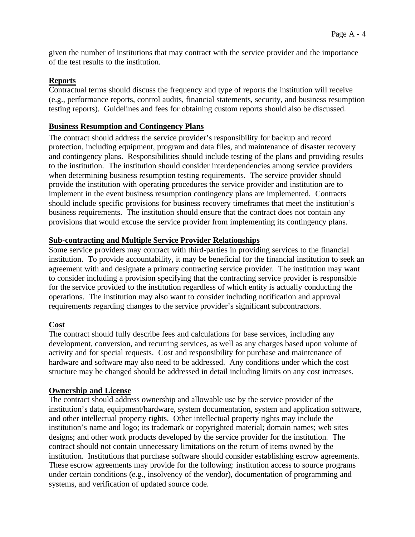given the number of institutions that may contract with the service provider and the importance of the test results to the institution.

## **Reports**

Contractual terms should discuss the frequency and type of reports the institution will receive (e.g., performance reports, control audits, financial statements, security, and business resumption testing reports). Guidelines and fees for obtaining custom reports should also be discussed.

## **Business Resumption and Contingency Plans**

The contract should address the service provider's responsibility for backup and record protection, including equipment, program and data files, and maintenance of disaster recovery and contingency plans. Responsibilities should include testing of the plans and providing results to the institution. The institution should consider interdependencies among service providers when determining business resumption testing requirements. The service provider should provide the institution with operating procedures the service provider and institution are to implement in the event business resumption contingency plans are implemented. Contracts should include specific provisions for business recovery timeframes that meet the institution's business requirements. The institution should ensure that the contract does not contain any provisions that would excuse the service provider from implementing its contingency plans.

## **Sub-contracting and Multiple Service Provider Relationships**

Some service providers may contract with third-parties in providing services to the financial institution. To provide accountability, it may be beneficial for the financial institution to seek an agreement with and designate a primary contracting service provider. The institution may want to consider including a provision specifying that the contracting service provider is responsible for the service provided to the institution regardless of which entity is actually conducting the operations. The institution may also want to consider including notification and approval requirements regarding changes to the service provider's significant subcontractors.

# **Cost**

The contract should fully describe fees and calculations for base services, including any development, conversion, and recurring services, as well as any charges based upon volume of activity and for special requests. Cost and responsibility for purchase and maintenance of hardware and software may also need to be addressed. Any conditions under which the cost structure may be changed should be addressed in detail including limits on any cost increases.

## **Ownership and License**

The contract should address ownership and allowable use by the service provider of the institution's data, equipment/hardware, system documentation, system and application software, and other intellectual property rights. Other intellectual property rights may include the institution's name and logo; its trademark or copyrighted material; domain names; web sites designs; and other work products developed by the service provider for the institution. The contract should not contain unnecessary limitations on the return of items owned by the institution. Institutions that purchase software should consider establishing escrow agreements. These escrow agreements may provide for the following: institution access to source programs under certain conditions (e.g., insolvency of the vendor), documentation of programming and systems, and verification of updated source code.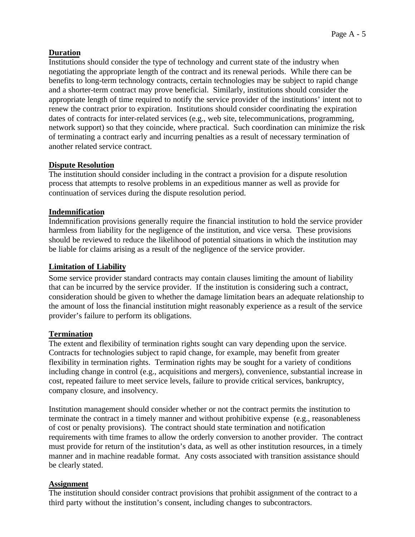## **Duration**

Institutions should consider the type of technology and current state of the industry when negotiating the appropriate length of the contract and its renewal periods. While there can be benefits to long-term technology contracts, certain technologies may be subject to rapid change and a shorter-term contract may prove beneficial. Similarly, institutions should consider the appropriate length of time required to notify the service provider of the institutions' intent not to renew the contract prior to expiration. Institutions should consider coordinating the expiration dates of contracts for inter-related services (e.g., web site, telecommunications, programming, network support) so that they coincide, where practical. Such coordination can minimize the risk of terminating a contract early and incurring penalties as a result of necessary termination of another related service contract.

## **Dispute Resolution**

The institution should consider including in the contract a provision for a dispute resolution process that attempts to resolve problems in an expeditious manner as well as provide for continuation of services during the dispute resolution period.

#### **Indemnification**

Indemnification provisions generally require the financial institution to hold the service provider harmless from liability for the negligence of the institution, and vice versa. These provisions should be reviewed to reduce the likelihood of potential situations in which the institution may be liable for claims arising as a result of the negligence of the service provider.

#### **Limitation of Liability**

Some service provider standard contracts may contain clauses limiting the amount of liability that can be incurred by the service provider. If the institution is considering such a contract, consideration should be given to whether the damage limitation bears an adequate relationship to the amount of loss the financial institution might reasonably experience as a result of the service provider's failure to perform its obligations.

## **Termination**

The extent and flexibility of termination rights sought can vary depending upon the service. Contracts for technologies subject to rapid change, for example, may benefit from greater flexibility in termination rights. Termination rights may be sought for a variety of conditions including change in control (e.g., acquisitions and mergers), convenience, substantial increase in cost, repeated failure to meet service levels, failure to provide critical services, bankruptcy, company closure, and insolvency.

Institution management should consider whether or not the contract permits the institution to terminate the contract in a timely manner and without prohibitive expense (e.g., reasonableness of cost or penalty provisions). The contract should state termination and notification requirements with time frames to allow the orderly conversion to another provider. The contract must provide for return of the institution's data, as well as other institution resources, in a timely manner and in machine readable format. Any costs associated with transition assistance should be clearly stated.

## **Assignment**

The institution should consider contract provisions that prohibit assignment of the contract to a third party without the institution's consent, including changes to subcontractors.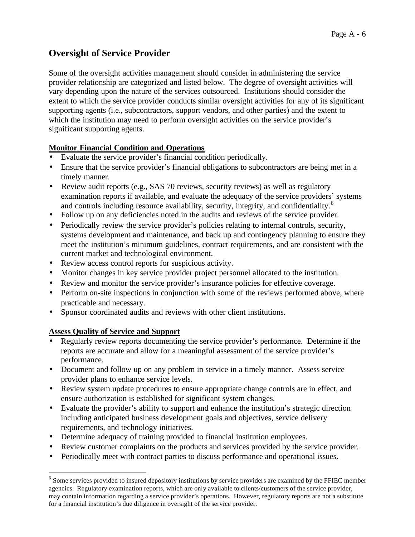# **Oversight of Service Provider**

Some of the oversight activities management should consider in administering the service provider relationship are categorized and listed below. The degree of oversight activities will vary depending upon the nature of the services outsourced. Institutions should consider the extent to which the service provider conducts similar oversight activities for any of its significant supporting agents (i.e., subcontractors, support vendors, and other parties) and the extent to which the institution may need to perform oversight activities on the service provider's significant supporting agents.

# **Monitor Financial Condition and Operations**

- Evaluate the service provider's financial condition periodically.
- Ensure that the service provider's financial obligations to subcontractors are being met in a timely manner.
- Review audit reports (e.g., SAS 70 reviews, security reviews) as well as regulatory examination reports if available, and evaluate the adequacy of the service providers' systems and controls including resource availability, security, integrity, and confidentiality.<sup>6</sup>
- Follow up on any deficiencies noted in the audits and reviews of the service provider.
- Periodically review the service provider's policies relating to internal controls, security, systems development and maintenance, and back up and contingency planning to ensure they meet the institution's minimum guidelines, contract requirements, and are consistent with the current market and technological environment.
- Review access control reports for suspicious activity.
- Monitor changes in key service provider project personnel allocated to the institution.
- Review and monitor the service provider's insurance policies for effective coverage.
- Perform on-site inspections in conjunction with some of the reviews performed above, where practicable and necessary.
- Sponsor coordinated audits and reviews with other client institutions.

# **Assess Quality of Service and Support**

 $\overline{a}$ 

- Regularly review reports documenting the service provider's performance. Determine if the reports are accurate and allow for a meaningful assessment of the service provider's performance.
- Document and follow up on any problem in service in a timely manner. Assess service provider plans to enhance service levels.
- Review system update procedures to ensure appropriate change controls are in effect, and ensure authorization is established for significant system changes.
- Evaluate the provider's ability to support and enhance the institution's strategic direction including anticipated business development goals and objectives, service delivery requirements, and technology initiatives.
- Determine adequacy of training provided to financial institution employees.
- Review customer complaints on the products and services provided by the service provider.
- Periodically meet with contract parties to discuss performance and operational issues.

<sup>&</sup>lt;sup>6</sup> Some services provided to insured depository institutions by service providers are examined by the FFIEC member agencies. Regulatory examination reports, which are only available to clients/customers of the service provider, may contain information regarding a service provider's operations. However, regulatory reports are not a substitute for a financial institution's due diligence in oversight of the service provider.